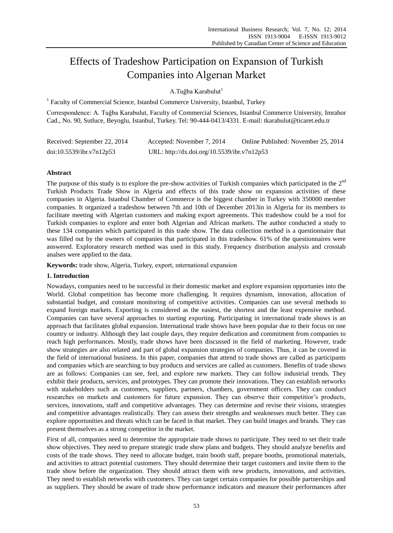# Effects of Tradeshow Participation on Expansıon of Turkish Companies into Algerıan Market

A.Tuğba Karabulut<sup>1</sup>

<sup>1</sup> Faculty of Commercial Science, Istanbul Commerce University, Istanbul, Turkey

Correspondence: A. Tuğba Karabulut, Faculty of Commercial Sciences, Istanbul Commerce University, Imrahor Cad., No. 90, Sutluce, Beyoglu, Istanbul, Turkey. Tel: 90-444-0413/4331. E-mail: tkarabulut@ticaret.edu.tr

| Received: September 22, 2014 | Accepted: November 7, 2014                  | Online Published: November 25, 2014 |
|------------------------------|---------------------------------------------|-------------------------------------|
| doi:10.5539/ibr.v7n12p53     | URL: http://dx.doi.org/10.5539/ibr.v7n12p53 |                                     |

# **Abstract**

The purpose of this study is to explore the pre-show activities of Turkish companies which participated in the  $2<sup>nd</sup>$ Turkish Products Trade Show in Algeria and effects of this trade show on expansion activities of these companies in Algeria. Istanbul Chamber of Commerce is the biggest chamber in Turkey with 350000 member companies. It organized a tradeshow between 7th and 10th of December 2013in in Algeria for its members to facilitate meeting with Algerian customers and making export agreements. This tradeshow could be a tool for Turkish companies to explore and enter both Algerian and African markets. The author conducted a study to these 134 companies which participated in this trade show. The data collection method is a questionnaire that was filled out by the owners of companies that participated in this tradeshow. 61% of the questionnaires were answered. Exploratory research method was used in this study. Frequency distribution analysis and crosstab analses were applied to the data.

**Keywords:** trade show, Algeria, Turkey, export, ınternational expansion

## **1. Introduction**

Nowadays, companies need to be successful in their domestic market and explore expansion opportunies into the World. Global competition has become more challenging. It requires dynamism, innovation, allocation of substantial budget, and constant monitoring of competitive activities. Companies can use several methods to expand foreign markets. Exporting is considered as the easiest, the shortest and the least expensive method. Companies can have several approaches to starting exporting. Participating in international trade shows is an approach that facilitates global expansion. International trade shows have been popular due to their focus on one country or industry. Although they last couple days, they require dedication and commitment from companies to reach high performances. Mostly, trade shows have been discussed in the field of marketing. However, trade show strategies are also related and part of global expansion strategies of companies. Thus, it can be covered in the field of international business. In this paper, companies that attend to trade shows are called as participants and companies which are searching to buy products and services are called as customers. Benefits of trade shows are as follows: Companies can see, feel, and explore new markets. They can follow industrial trends. They exhibit their products, services, and prototypes. They can promote their innovations. They can establish networks with stakeholders such as customers, suppliers, partners, chambers, government officers. They can conduct researches on markets and customers for future expansion. They can observe their competitior's products, services, innovations, staff and competitive advantages. They can determine and revise their visions, strategies and competitive advantages realistically. They can assess their strengths and weaknesses much better. They can explore opportunities and threats which can be faced in that market. They can build images and brands. They can present themselves as a strong competitor in the market.

First of all, companies need to determine the appropriate trade shows to participate. They need to set their trade show objectives. They need to prepare strategic trade show plans and budgets. They should analyze benefits and costs of the trade shows. They need to allocate budget, train booth staff, prepare booths, promotional materials, and activities to attract potential customers. They should determine their target customers and invite them to the trade show before the organization. They should attract them with new products, innovations, and activities. They need to establish networks with customers. They can target certain companies for possible partnerships and as suppliers. They should be aware of trade show performance indicators and measure their performances after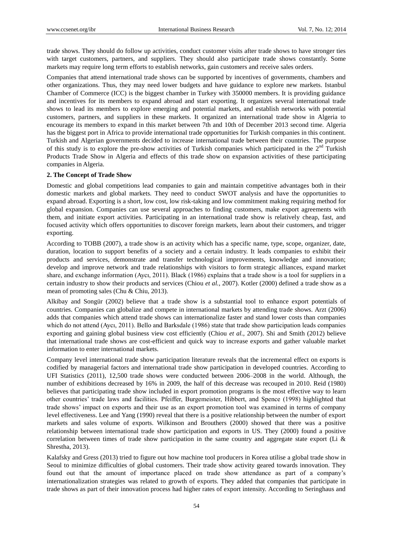trade shows. They should do follow up activities, conduct customer visits after trade shows to have stronger ties with target customers, partners, and suppliers. They should also participate trade shows constantly. Some markets may require long term efforts to establish networks, gain customers and receive sales orders.

Companies that attend international trade shows can be supported by incentives of governments, chambers and other organizations. Thus, they may need lower budgets and have guidance to explore new markets. Istanbul Chamber of Commerce (ICC) is the biggest chamber in Turkey with 350000 members. It is providing guidance and incentives for its members to expand abroad and start exporting. It organizes several international trade shows to lead its members to explore emerging and potential markets, and establish networks with potential customers, partners, and suppliers in these markets. It organized an international trade show in Algeria to encourage its members to expand in this market between 7th and 10th of December 2013 second time. Algeria has the biggest port in Africa to provide international trade opportunities for Turkish companies in this continent. Turkish and Algerian governments decided to increase international trade between their countries. The purpose of this study is to explore the pre-show activities of Turkish companies which participated in the  $2<sup>nd</sup>$  Turkish Products Trade Show in Algeria and effects of this trade show on expansion activities of these participating companies in Algeria.

#### **2. The Concept of Trade Show**

Domestic and global competitions lead companies to gain and maintain competitive advantages both in their domestic markets and global markets. They need to conduct SWOT analysis and have the opportunities to expand abroad. Exporting is a short, low cost, low risk-taking and low commitment making requiring method for global expansion. Companies can use several approaches to finding customers, make export agreements with them, and initiate export activities. Participating in an international trade show is relatively cheap, fast, and focused activity which offers opportunities to discover foreign markets, learn about their customers, and trigger exporting.

According to TOBB (2007), a trade show is an activity which has a specific name, type, scope, organizer, date, duration, location to support benefits of a society and a certain industry. It leads companies to exhibit their products and services, demonstrate and transfer technological improvements, knowledge and innovation; develop and improve network and trade relationships with visitors to form strategic alliances, expand market share, and exchange information (Aycı, 2011). Black (1986) explains that a trade show is a tool for suppliers in a certain industry to show their products and services (Chiou *et al.*, 2007). Kotler (2000) defined a trade show as a mean of promoting sales (Chu & Chiu, 2013).

Alkibay and Songür (2002) believe that a trade show is a substantial tool to enhance export potentials of countries. Companies can globalize and compete in international markets by attending trade shows. Arzt (2006) adds that companies which attend trade shows can internationalize faster and stand lower costs than companies which do not attend (Aycı, 2011). Bello and Barksdale (1986) state that trade show participation leads companies exporting and gaining global business view cost efficiently (Chiou *et al.,* 2007). Shi and Smith (2012) believe that international trade shows are cost-efficient and quick way to increase exports and gather valuable market information to enter international markets.

Company level international trade show participation literature reveals that the incremental effect on exports is codified by managerial factors and international trade show participation in developed countries. According to UFI Statistics (2011), 12,500 trade shows were conducted between 2006–2008 in the world. Although, the number of exhibitions decreased by 16% in 2009, the half of this decrease was recouped in 2010. Reid (1980) believes that participating trade show included in export promotion programs is the most effective way to learn other countries" trade laws and facilities. Pfeiffer, Burgemeister, Hibbert, and Spence (1998) highlighted that trade shows" impact on exports and their use as an export promotion tool was examined in terms of company level effectiveness. Lee and Yang (1990) reveal that there is a positive relationship between the number of export markets and sales volume of exports. Wilkinson and Brouthers (2000) showed that there was a positive relationship between international trade show participation and exports in US. They (2000) found a positive correlation between times of trade show participation in the same country and aggregate state export (Li & Shrestha, 2013).

Kalafsky and Gress (2013) tried to figure out how machine tool producers in Korea utilise a global trade show in Seoul to minimize difficulties of global customers. Their trade show activity geared towards innovation. They found out that the amount of importance placed on trade show attendance as part of a company"s internationalization strategies was related to growth of exports. They added that companies that participate in trade shows as part of their innovation process had higher rates of export intensity. According to Seringhaus and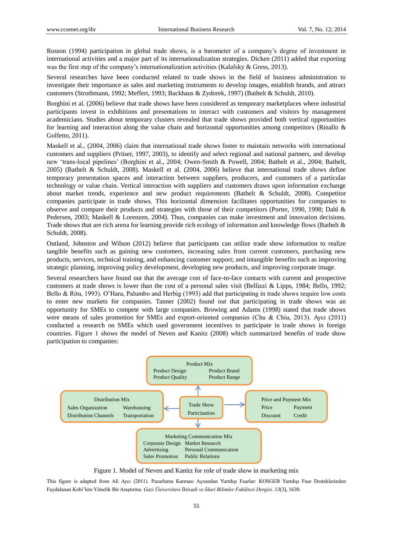Rosson (1994) participation in global trade shows, is a barometer of a company"s degree of investment in international activities and a major part of its internationalization strategies. Dicken (2011) added that exporting was the first step of the company's internationalization activities (Kalafsky & Gress, 2013).

Several researches have been conducted related to trade shows in the field of business administration to investigate their importance as sales and marketing instruments to develop images, establish brands, and attract customers (Strothmann, 1992; Meffert, 1993; Backhaus & Zydorek, 1997) (Bathelt & Schuldt, 2010).

Borghini et al. (2006) believe that trade shows have been considered as temporary marketplaces where industrial participants invest in exhibitions and presentations to interact with customers and visitors by management academicians. Studies about temporary clusters revealed that trade shows provided both vertical opportunities for learning and interaction along the value chain and horizontal opportunities among competitors (Rinallo & Golfetto, 2011).

Maskell et al., (2004, 2006) claim that international trade shows foster to maintain networks with international customers and suppliers (Prüser, 1997, 2003), to identify and select regional and national partners, and develop new "trans-local pipelines" (Borghini et al., 2004; Owen-Smith & Powell, 2004; Bathelt et al., 2004; Bathelt, 2005) (Bathelt & Schuldt, 2008). Maskell et al. (2004, 2006) believe that international trade shows define temporary presentation spaces and interaction between suppliers, producers, and customers of a particular technology or value chain. Vertical interaction with suppliers and customers draws upon information exchange about market trends, experience and new product requirements (Bathelt & Schuldt, 2008). Competitor companies participate in trade shows. This horizontal dimension facilitates opportunities for companies to observe and compare their products and strategies with those of their competitors (Porter, 1990, 1998; Dahl & Pedersen, 2003; Maskell & Lorenzen, 2004). Thus, companies can make investment and innovation decisions. Trade shows that are rich arena for learning provide rich ecology of information and knowledge flows (Bathelt & Schuldt, 2008).

Outland, Johnston and Wilson (2012) believe that participants can utilize trade show information to realize tangible benefits such as gaining new customers, increasing sales from current customers, purchasing new products, services, technical training, and enhancing customer support; and intangible benefits such as improving strategic planning, improving policy development, developing new products, and improving corporate image.

Several researchers have found out that the average cost of face-to-face contacts with current and prospective customers at trade shows is lower than the cost of a personal sales visit (Bellizzi & Lipps, 1984; Bello, 1992; Bello & Ritu, 1993). O"Hara, Palumbo and Herbig (1993) add that participating in trade shows require low costs to enter new markets for companies. Tanner (2002) found out that participating in trade shows was an opportunity for SMEs to compete with large companies. Browing and Adams (1998) stated that trade shows were means of sales promotion for SMEs and export-oriented companies (Chu & Chiu, 2013). Aycı (2011) conducted a research on SMEs which used government incentives to participate in trade shows in foreign countries. Figure 1 shows the model of Neven and Kanitz (2008) which summarized benefits of trade show participation to companies:



Figure 1. Model of Neven and Kanitz for role of trade show in marketing mix

This figure is adapted from Ali Aycı (2011). Pazarlama Karması Açısından Yurtdışı Fuarlar: KOSGEB Yurtdışı Fuar Desteklerinden Faydalanan Kobi"lere Yönelik Bir Araştırma. *Gazi Üniversitesi İktisadi ve İdari Bilimler Fakültesi Dergisi, 13*(3), 1639.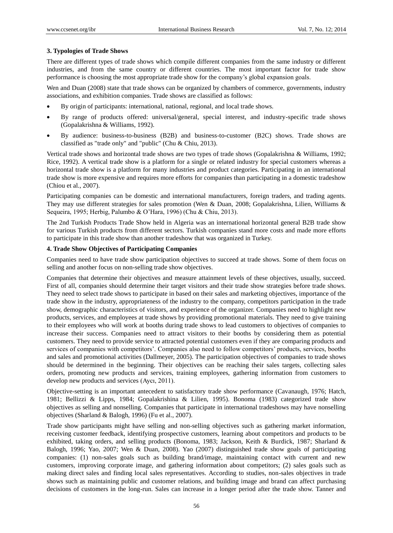# **3. Typologies of Trade Shows**

There are different types of trade shows which compile different companies from the same industry or different industries, and from the same country or different countries. The most important factor for trade show performance is choosing the most appropriate trade show for the company"s global expansion goals.

Wen and Duan (2008) state that trade shows can be organized by chambers of commerce, governments, industry associations, and exhibition companies. Trade shows are classified as follows:

- By origin of participants: international, national, regional, and local trade shows.
- By range of products offered: universal/general, special interest, and industry-specific trade shows (Gopalakrishna & Williams, 1992).
- By audience: business-to-business (B2B) and business-to-customer (B2C) shows. Trade shows are classified as "trade only" and "public" (Chu & Chiu, 2013).

Vertical trade shows and horizontal trade shows are two types of trade shows (Gopalakrishna & Williams, 1992; Rice, 1992). A vertical trade show is a platform for a single or related industry for special customers whereas a horizontal trade show is a platform for many industries and product categories. Participating in an international trade show is more expensive and requires more efforts for companies than participating in a domestic tradeshow (Chiou et al., 2007).

Participating companies can be domestic and international manufacturers, foreign traders, and trading agents. They may use different strategies for sales promotion (Wen & Duan, 2008; Gopalakrishna, Lilien, Williams & Sequeira, 1995; Herbig, Palumbo & O"Hara, 1996) (Chu & Chiu, 2013).

The 2nd Turkish Products Trade Show held in Algeria was an international horizontal general B2B trade show for various Turkish products from different sectors. Turkish companies stand more costs and made more efforts to participate in this trade show than another tradeshow that was organized in Turkey.

# **4. Trade Show Objectives of Participating Companies**

Companies need to have trade show participation objectives to succeed at trade shows. Some of them focus on selling and another focus on non-selling trade show objectives.

Companies that determine their objectives and measure attainment levels of these objectives, usually, succeed. First of all, companies should determine their target visitors and their trade show strategies before trade shows. They need to select trade shows to participate in based on their sales and marketing objectives, importance of the trade show in the industry, appropriateness of the industry to the company, competitors participation in the trade show, demographic characteristics of visitors, and experience of the organizer. Companies need to highlight new products, services, and employees at trade shows by providing promotional materials. They need to give training to their employees who will work at booths during trade shows to lead customers to objectives of companies to increase their success. Companies need to attract visitors to their booths by considering them as potential customers. They need to provide service to attracted potential customers even if they are comparing products and services of companies with competitors'. Companies also need to follow competitors' products, services, booths and sales and promotional activities (Dallmeyer, 2005). The participation objectives of companies to trade shows should be determined in the beginning. Their objectives can be reaching their sales targets, collecting sales orders, promoting new products and services, training employees, gathering information from customers to develop new products and services (Aycı, 2011).

Objective-setting is an important antecedent to satisfactory trade show performance (Cavanaugh, 1976; Hatch, 1981; Bellizzi & Lipps, 1984; Gopalakrishina & Lilien, 1995). Bonoma (1983) categorized trade show objectives as selling and nonselling. Companies that participate in international tradeshows may have nonselling objectives (Sharland & Balogh, 1996) (Fu et al., 2007).

Trade show participants might have selling and non-selling objectives such as gathering market information, receiving customer feedback, identifying prospective customers, learning about competitors and products to be exhibited, taking orders, and selling products (Bonoma, 1983; Jackson, Keith & Burdick, 1987; Sharland & Balogh, 1996; Yao, 2007; Wen & Duan, 2008). Yao (2007) distinguished trade show goals of participating companies: (1) non-sales goals such as building brand/image, maintaining contact with current and new customers, improving corporate image, and gathering information about competitors; (2) sales goals such as making direct sales and finding local sales representatives. According to studies, non-sales objectives in trade shows such as maintaining public and customer relations, and building image and brand can affect purchasing decisions of customers in the long-run. Sales can increase in a longer period after the trade show. Tanner and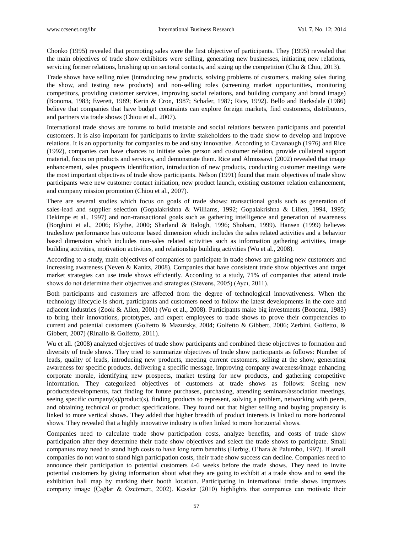Chonko (1995) revealed that promoting sales were the first objective of participants. They (1995) revealed that the main objectives of trade show exhibitors were selling, generating new businesses, initiating new relations, servicing former relations, brushing up on sectoral contacts, and sizing up the competition (Chu & Chiu, 2013).

Trade shows have selling roles (introducing new products, solving problems of customers, making sales during the show, and testing new products) and non-selling roles (screening market opportunities, monitoring competitors, providing customer services, improving social relations, and building company and brand image) (Bonoma, 1983; Everett, 1989; Kerin & Cron, 1987; Schafer, 1987; Rice, 1992). Bello and Barksdale (1986) believe that companies that have budget constraints can explore foreign markets, find customers, distributors, and partners via trade shows (Chiou et al., 2007).

International trade shows are forums to build trustable and social relations between participants and potential customers. It is also important for participants to invite stakeholders to the trade show to develop and improve relations. It is an opportunity for companies to be and stay innovative. According to Cavanaugh (1976) and Rice (1992), companies can have chances to initiate sales person and customer relation, provide collateral support material, focus on products and services, and demonstrate them. Rice and Almossawi (2002) revealed that image enhancement, sales prospects identification, introduction of new products, conducting customer meetings were the most important objectives of trade show participants. Nelson (1991) found that main objectives of trade show participants were new customer contact initiation, new product launch, existing customer relation enhancement, and company mission promotion (Chiou et al., 2007).

There are several studies which focus on goals of trade shows: transactional goals such as generation of sales-lead and supplier selection (Gopalakrishna & Williams, 1992; Gopalakrishna & Lilien, 1994, 1995; Dekimpe et al., 1997) and non-transactional goals such as gathering intelligence and generation of awareness (Borghini et al., 2006; Blythe, 2000; Sharland & Balogh, 1996; Shoham, 1999). Hansen (1999) believes tradeshow performance has outcome based dimension which includes the sales related activities and a behavior based dimension which includes non-sales related activities such as information gathering activities, image building activities, motivation activities, and relationship building activities (Wu et al., 2008).

According to a study, main objectives of companies to participate in trade shows are gaining new customers and increasing awareness (Neven & Kanitz, 2008). Companies that have consistent trade show objectives and target market strategies can use trade shows efficiently. According to a study, 71% of companies that attend trade shows do not determine their objectives and strategies (Stevens, 2005) (Aycı, 2011).

Both participants and customers are affected from the degree of technological innovativeness. When the technology lifecycle is short, participants and customers need to follow the latest developments in the core and adjacent industries (Zook & Allen, 2001) (Wu et al., 2008). Participants make big investments (Bonoma, 1983) to bring their innovations, prototypes, and expert employees to trade shows to prove their competencies to current and potential customers (Golfetto & Mazursky, 2004; Golfetto & Gibbert, 2006; Zerbini, Golfetto, & Gibbert, 2007) (Rinallo & Golfetto, 2011).

Wu et all. (2008) analyzed objectives of trade show participants and combined these objectives to formation and diversity of trade shows. They tried to summarize objectives of trade show participants as follows: Number of leads, quality of leads, introducing new products, meeting current customers, selling at the show, generating awareness for specific products, delivering a specific message, improving company awareness/image enhancing corporate morale, identifying new prospects, market testing for new products, and gathering competitive information. They categorized objectives of customers at trade shows as follows: Seeing new products/developments, fact finding for future purchases, purchasing, attending seminars/association meetings, seeing specific company(s)/product(s), finding products to represent, solving a problem, networking with peers, and obtaining technical or product specifications. They found out that higher selling and buying propensity is linked to more vertical shows. They added that higher breadth of product interests is linked to more horizontal shows. They revealed that a highly innovative industry is often linked to more horizontal shows.

Companies need to calculate trade show participation costs, analyze benefits, and costs of trade show participation after they determine their trade show objectives and select the trade shows to participate. Small companies may need to stand high costs to have long term benefits (Herbig, O"hara & Palumbo, 1997). If small companies do not want to stand high participation costs, their trade show success can decline. Companies need to announce their participation to potential customers 4-6 weeks before the trade shows. They need to invite potential customers by giving information about what they are going to exhibit at a trade show and to send the exhibition hall map by marking their booth location. Participating in international trade shows improves company image (Çağlar & Özcömert, 2002). Kessler (2010) highlights that companies can motivate their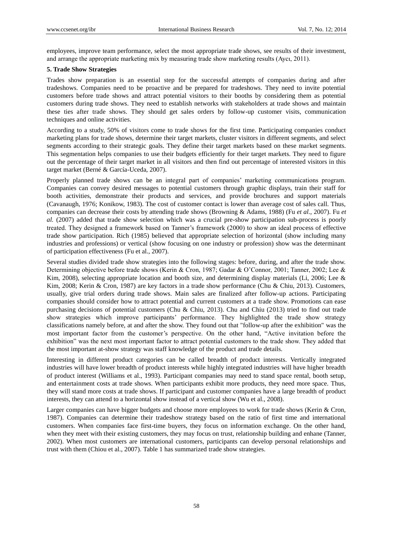employees, improve team performance, select the most appropriate trade shows, see results of their investment, and arrange the appropriate marketing mix by measuring trade show marketing results (Aycı, 2011).

## **5. Trade Show Strategies**

Trades show preparation is an essential step for the successful attempts of companies during and after tradeshows. Companies need to be proactive and be prepared for tradeshows. They need to invite potential customers before trade shows and attract potential visitors to their booths by considering them as potential customers during trade shows. They need to establish networks with stakeholders at trade shows and maintain these ties after trade shows. They should get sales orders by follow-up customer visits, communication techniques and online activities.

According to a study, 50% of visitors come to trade shows for the first time. Participating companies conduct marketing plans for trade shows, determine their target markets, cluster visitors in different segments, and select segments according to their strategic goals. They define their target markets based on these market segments. This segmentation helps companies to use their budgets efficiently for their target markets. They need to figure out the percentage of their target market in all visitors and then find out percentage of interested visitors in this target market (Berné & Garc á-Uceda, 2007).

Properly planned trade shows can be an integral part of companies" marketing communications program. Companies can convey desired messages to potential customers through graphic displays, train their staff for booth activities, demonstrate their products and services, and provide brochures and support materials (Cavanaugh, 1976; Konikow, 1983). The cost of customer contact is lower than average cost of sales call. Thus, companies can decrease their costs by attending trade shows (Browning & Adams, 1988) (Fu *et al.,* 2007). Fu *et al.* (2007) added that trade show selection which was a crucial pre-show participation sub-process is poorly treated. They designed a framework based on Tanner"s framework (2000) to show an ideal process of effective trade show participation. Rich (1985) believed that appropriate selection of horizontal (show including many industries and professions) or vertical (show focusing on one industry or profession) show was the determinant of participation effectiveness (Fu et al., 2007).

Several studies divided trade show strategies into the following stages: before, during, and after the trade show. Determining objective before trade shows (Kerin & Cron, 1987; Gadar & O'Connor, 2001; Tanner, 2002; Lee & Kim, 2008), selecting appropriate location and booth size, and determining display materials (Li, 2006; Lee & Kim, 2008; Kerin & Cron, 1987) are key factors in a trade show performance (Chu & Chiu, 2013). Customers, usually, give trial orders during trade shows. Main sales are finalized after follow-up actions. Participating companies should consider how to attract potential and current customers at a trade show. Promotions can ease purchasing decisions of potential customers (Chu & Chiu, 2013). Chu and Chiu (2013) tried to find out trade show strategies which improve participants" performance. They highlighted the trade show strategy classifications namely before, at and after the show. They found out that "follow-up after the exhibition" was the most important factor from the customer"s perspective. On the other hand, "Active invitation before the exhibition" was the next most important factor to attract potential customers to the trade show. They added that the most important at-show strategy was staff knowledge of the product and trade details.

Interesting in different product categories can be called breadth of product interests. Vertically integrated industries will have lower breadth of product interests while highly integrated industries will have higher breadth of product interest (Williams et al., 1993). Participant companies may need to stand space rental, booth setup, and entertainment costs at trade shows. When participants exhibit more products, they need more space. Thus, they will stand more costs at trade shows. If participant and customer companies have a large breadth of product interests, they can attend to a horizontal show instead of a vertical show (Wu et al., 2008).

Larger companies can have bigger budgets and choose more employees to work for trade shows (Kerin & Cron, 1987). Companies can determine their tradeshow strategy based on the ratio of first time and international customers. When companies face first-time buyers, they focus on information exchange. On the other hand, when they meet with their existing customers, they may focus on trust, relationship building and enhane (Tanner, 2002). When most customers are international customers, participants can develop personal relationships and trust with them (Chiou et al., 2007). Table 1 has summarized trade show strategies.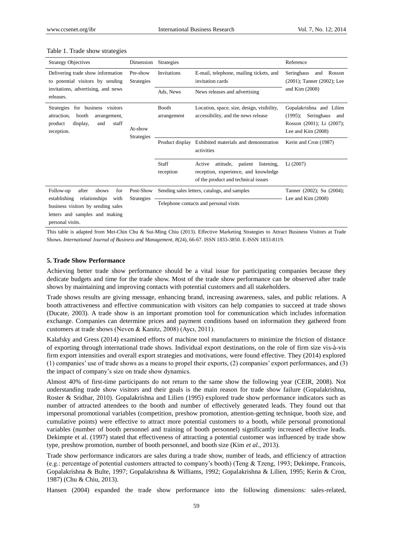| <b>Strategy Objectives</b>                      | Dimension         | <b>Strategies</b>                      |                                              | Reference                        |
|-------------------------------------------------|-------------------|----------------------------------------|----------------------------------------------|----------------------------------|
|                                                 |                   |                                        |                                              |                                  |
| Delivering trade show information               | Pre-show          | Invitations                            | E-mail, telephone, mailing tickets, and      | Rosson<br>Seringhaus<br>and      |
| to potential visitors by sending                | <b>Strategies</b> |                                        | invitation cards                             | $(2001)$ ; Tanner $(2002)$ ; Lee |
| invitations, advertising, and news<br>releases. |                   | Ads, News                              | News releases and advertising                | and Kim $(2008)$                 |
| Strategies<br>for business<br>visitors          |                   | Booth                                  | Location, space, size, design, visibility,   | Gopalakrishna and Lilien         |
| attraction.<br>booth<br>arrangement,            |                   | arrangement                            | accessibility, and the news release          | Seringhaus<br>(1995):<br>and     |
| staff<br>product<br>display,<br>and             |                   |                                        |                                              | Rosson (2001); Li (2007);        |
| reception.                                      | At-show           |                                        |                                              | Lee and Kim $(2008)$             |
|                                                 | Strategies        | Product display                        | Exhibited materials and demonstration        | Kerin and Cron (1987)            |
|                                                 |                   |                                        | activities                                   |                                  |
|                                                 |                   | Staff                                  | attitude, patient<br>listening.<br>Active    | Li (2007)                        |
|                                                 |                   | reception                              | reception, experience, and knowledge         |                                  |
|                                                 |                   |                                        | of the product and technical issues          |                                  |
| for<br>Follow-up<br>after<br>shows              | Post-Show         |                                        | Sending sales letters, catalogs, and samples | Tanner (2002); Su (2004);        |
| establishing<br>relationships<br>with           | Strategies        | Telephone contacts and personal visits |                                              | Lee and Kim $(2008)$             |
| business visitors by sending sales              |                   |                                        |                                              |                                  |
| letters and samples and making                  |                   |                                        |                                              |                                  |
| personal visits.                                |                   |                                        |                                              |                                  |

#### Table 1. Trade show strategies

This table is adapted from Mei-Chin Chu & Sui-Ming Chiu (2013). Effective Marketing Strategies to Attract Business Visitors at Trade Shows. *International Journal of Business and Management, 8*(24), 66-67. ISSN 1833-3850. E-ISSN 1833-8119.

#### **5. Trade Show Performance**

Achieving better trade show performance should be a vital issue for participating companies because they dedicate budgets and time for the trade show. Most of the trade show performance can be observed after trade shows by maintaining and improving contacts with potential customers and all stakeholders.

Trade shows results are giving message, enhancing brand, increasing awareness, sales, and public relations. A booth attractiveness and effective communication with visitors can help companies to succeed at trade shows (Ducate, 2003). A trade show is an important promotion tool for communication which includes information exchange. Companies can determine prices and payment conditions based on information they gathered from customers at trade shows (Neven & Kanitz, 2008) (Aycı, 2011).

Kalafsky and Gress (2014) examined efforts of machine tool manufacturers to minimize the friction of distance of exporting through international trade shows. Individual export destinations, on the role of firm size vis-à-vis firm export intensities and overall export strategies and motivations, were found effective. They (2014) explored (1) companies" use of trade shows as a means to propel their exports, (2) companies" export performances, and (3) the impact of company"s size on trade show dynamics.

Almost 40% of first-time participants do not return to the same show the following year (CEIR, 2008). Not understanding trade show visitors and their goals is the main reason for trade show failure (Gopalakrishna, Roster & Sridhar, 2010). Gopalakrishna and Lilien (1995) explored trade show performance indicators such as number of attracted attendees to the booth and number of effectively generated leads. They found out that impersonal promotional variables (competition, preshow promotion, attention-getting technique, booth size, and cumulative points) were effective to attract more potential customers to a booth, while personal promotional variables (number of booth personnel and training of booth personnel) significantly increased effective leads. Dekimpte et al. (1997) stated that effectiveness of attracting a potential customer was influenced by trade show type, preshow promotion, number of booth personnel, and booth size (Kim *et al.,* 2013).

Trade show performance indicators are sales during a trade show, number of leads, and efficiency of attraction (e.g.: percentage of potential customers attracted to company"s booth) (Teng & Tzeng, 1993; Dekimpe, Francois, Gopalakrishna & Bulte, 1997; Gopalakrishna & Williams, 1992; Gopalakrishna & Lilien, 1995; Kerin & Cron, 1987) (Chu & Chiu, 2013).

Hansen (2004) expanded the trade show performance into the following dimensions: sales-related,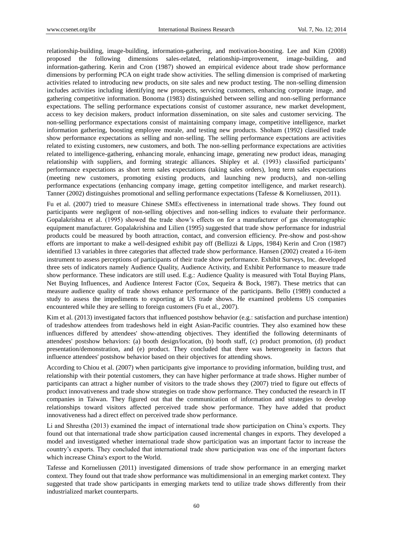relationship-building, image-building, information-gathering, and motivation-boosting. Lee and Kim (2008) proposed the following dimensions sales-related, relationship-improvement, image-building, and information-gathering. Kerin and Cron (1987) showed an empirical evidence about trade show performance dimensions by performing PCA on eight trade show activities. The selling dimension is comprised of marketing activities related to introducing new products, on site sales and new product testing. The non-selling dimension includes activities including identifying new prospects, servicing customers, enhancing corporate image, and gathering competitive information. Bonoma (1983) distinguished between selling and non-selling performance expectations. The selling performance expectations consist of customer assurance, new market development, access to key decision makers, product information dissemination, on site sales and customer servicing. The non-selling performance expectations consist of maintaining company image, competitive intelligence, market information gathering, boosting employee morale, and testing new products. Shoham (1992) classified trade show performance expectations as selling and non-selling. The selling performance expectations are activities related to existing customers, new customers, and both. The non-selling performance expectations are activities related to intelligence-gathering, enhancing morale, enhancing image, generating new product ideas, managing relationship with suppliers, and forming strategic alliances. Shipley et al. (1993) classified participants" performance expectations as short term sales expectations (taking sales orders), long term sales expectations (meeting new customers, promoting existing products, and launching new products), and non-selling performance expectations (enhancing company image, getting competitor intelligence, and market research). Tanner (2002) distinguishes promotional and selling performance expectations (Tafesse & Korneliussen, 2011).

Fu et al. (2007) tried to measure Chinese SMEs effectiveness in international trade shows. They found out participants were negligent of non-selling objectives and non-selling indices to evaluate their performance. Gopalakrishna et al. (1995) showed the trade show"s effects on for a manufacturer of gas chromatographic equipment manufacturer. Gopalakrishina and Lilien (1995) suggested that trade show performance for industrial products could be measured by booth attraction, contact, and conversion efficiency. Pre-show and post-show efforts are important to make a well-designed exhibit pay off (Bellizzi & Lipps, 1984) Kerin and Cron (1987) identified 13 variables in three categories that affected trade show performance. Hansen (2002) created a 16-item instrument to assess perceptions of participants of their trade show performance. Exhibit Surveys, Inc. developed three sets of indicators namely Audience Quality, Audience Activity, and Exhibit Performance to measure trade show performance. These indicators are still used. E.g.: Audience Quality is measured with Total Buying Plans, Net Buying Influences, and Audience Interest Factor (Cox, Sequeira & Bock, 1987). These metrics that can measure audience quality of trade shows enhance performance of the participants. Bello (1989) conducted a study to assess the impediments to exporting at US trade shows. He examined problems US companies encountered while they are selling to foreign customers (Fu et al., 2007).

Kim et al. (2013) investigated factors that influenced postshow behavior (e.g.: satisfaction and purchase intention) of tradeshow attendees from tradeshows held in eight Asian-Pacific countries. They also examined how these influences differed by attendees' show-attending objectives. They identified the following determinants of attendees' postshow behaviors: (a) booth design/location, (b) booth staff, (c) product promotion, (d) product presentation/demonstration, and (e) product. They concluded that there was heterogeneity in factors that influence attendees' postshow behavior based on their objectives for attending shows.

According to Chiou et al. (2007) when participants give importance to providing information, building trust, and relationship with their potential customers, they can have higher performance at trade shows. Higher number of participants can attract a higher number of visitors to the trade shows they (2007) tried to figure out effects of product innovativeness and trade show strategies on trade show performance. They conducted the research in IT companies in Taiwan. They figured out that the communication of information and strategies to develop relationships toward visitors affected perceived trade show performance. They have added that product innovativeness had a direct effect on perceived trade show performance.

Li and Shrestha (2013) examined the impact of international trade show participation on China"s exports. They found out that international trade show participation caused incremental changes in exports. They developed a model and investigated whether international trade show participation was an important factor to increase the country"s exports. They concluded that international trade show participation was one of the important factors which increase China's export to the World.

Tafesse and Korneliussen (2011) investigated dimensions of trade show performance in an emerging market context. They found out that trade show performance was multidimensional in an emerging market context. They suggested that trade show participants in emerging markets tend to utilize trade shows differently from their industrialized market counterparts.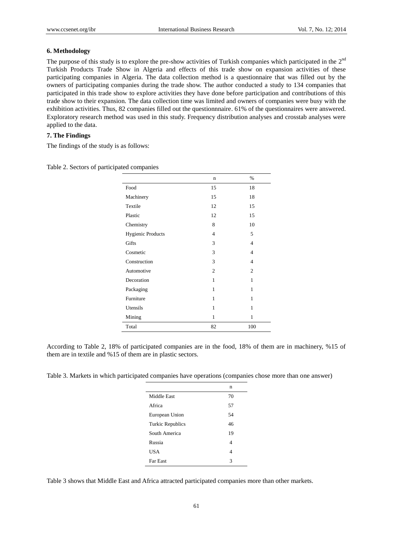## **6. Methodology**

The purpose of this study is to explore the pre-show activities of Turkish companies which participated in the  $2<sup>nd</sup>$ Turkish Products Trade Show in Algeria and effects of this trade show on expansion activities of these participating companies in Algeria. The data collection method is a questionnaire that was filled out by the owners of participating companies during the trade show. The author conducted a study to 134 companies that participated in this trade show to explore activities they have done before participation and contributions of this trade show to their expansion. The data collection time was limited and owners of companies were busy with the exhibition activities. Thus, 82 companies filled out the questionnnaire. 61% of the questionnaires were answered. Exploratory research method was used in this study. Frequency distribution analyses and crosstab analyses were applied to the data.

# **7. The Findings**

The findings of the study is as follows:

Table 2. Sectors of participated companies

|                          | n              | $\%$           |
|--------------------------|----------------|----------------|
| Food                     | 15             | 18             |
| Machinery                | 15             | 18             |
| Textile                  | 12             | 15             |
| Plastic                  | 12             | 15             |
| Chemistry                | 8              | 10             |
| <b>Hygienic Products</b> | $\overline{4}$ | 5              |
| Gifts                    | 3              | $\overline{4}$ |
| Cosmetic                 | 3              | $\overline{4}$ |
| Construction             | 3              | $\overline{4}$ |
| Automotive               | $\overline{c}$ | 2              |
| Decoration               | 1              | 1              |
| Packaging                | 1              | 1              |
| Furniture                | 1              | 1              |
| Utensils                 | 1              | $\mathbf{1}$   |
| Mining                   | $\mathbf{1}$   | $\mathbf{1}$   |
| Total                    | 82             | 100            |

According to Table 2, 18% of participated companies are in the food, 18% of them are in machinery, %15 of them are in textile and %15 of them are in plastic sectors.

Table 3. Markets in which participated companies have operations (companies chose more than one answer)

|                         | n  |
|-------------------------|----|
| <b>Middle East</b>      | 70 |
| Africa                  | 57 |
| European Union          | 54 |
| <b>Turkic Republics</b> | 46 |
| South America           | 19 |
| Russia                  | 4  |
| USA                     | 4  |
| <b>Far East</b>         | 3  |

Table 3 shows that Middle East and Africa attracted participated companies more than other markets.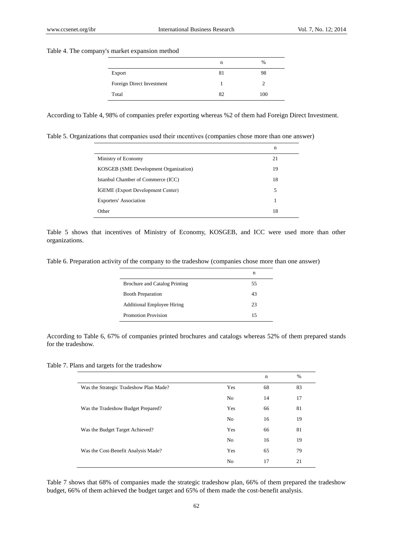## Table 4. The company's market expansion method

|                           | n  | $\%$ |
|---------------------------|----|------|
| Export                    | 81 | 98   |
| Foreign Direct Investment |    |      |
| Total                     | 82 | 100  |

According to Table 4, 98% of companies prefer exporting whereas %2 of them had Foreign Direct Investment.

Table 5. Organizations that companies used their ıncentives (companies chose more than one answer)

|                                       | n  |
|---------------------------------------|----|
| Ministry of Economy                   | 21 |
| KOSGEB (SME Development Organization) | 19 |
| Istanbul Chamber of Commerce (ICC)    | 18 |
| IGEME (Export Development Center)     | 5  |
| <b>Exporters' Association</b>         |    |
| Other                                 | 18 |

Table 5 shows that incentives of Ministry of Economy, KOSGEB, and ICC were used more than other organizations.

Table 6. Preparation activity of the company to the tradeshow (companies chose more than one answer)

|                                      | n  |
|--------------------------------------|----|
| <b>Brochure and Catalog Printing</b> | 55 |
| <b>Booth Preparation</b>             | 43 |
| <b>Additional Employee Hiring</b>    | 23 |
| Promotion Provision                  | 15 |

According to Table 6, 67% of companies printed brochures and catalogs whereas 52% of them prepared stands for the tradeshow.

Table 7. Plans and targets for the tradeshow

|                                        |                | $\mathbf n$ | %  |
|----------------------------------------|----------------|-------------|----|
| Was the Strategic Tradeshow Plan Made? | Yes            | 68          | 83 |
|                                        | N <sub>o</sub> | 14          | 17 |
| Was the Tradeshow Budget Prepared?     | Yes            | 66          | 81 |
|                                        | N <sub>0</sub> | 16          | 19 |
| Was the Budget Target Achieved?        | Yes            | 66          | 81 |
|                                        | N <sub>o</sub> | 16          | 19 |
| Was the Cost-Benefit Analysis Made?    | Yes            | 65          | 79 |
|                                        | N <sub>0</sub> | 17          | 21 |

Table 7 shows that 68% of companies made the strategic tradeshow plan, 66% of them prepared the tradeshow budget, 66% of them achieved the budget target and 65% of them made the cost-benefit analysis.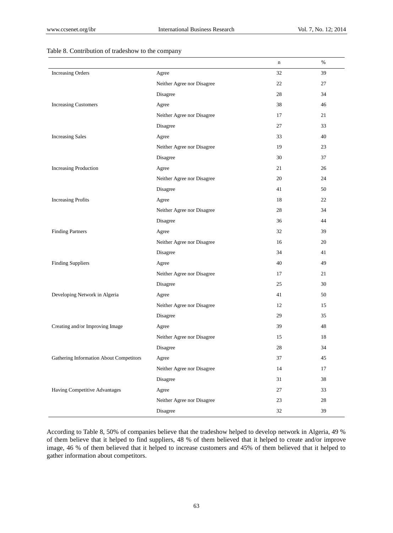## Table 8. Contribution of tradeshow to the company

|                                         |                            | n  | $\%$ |
|-----------------------------------------|----------------------------|----|------|
| <b>Increasing Orders</b>                | Agree                      | 32 | 39   |
|                                         | Neither Agree nor Disagree | 22 | 27   |
|                                         | Disagree                   | 28 | 34   |
| <b>Increasing Customers</b>             | Agree                      | 38 | 46   |
|                                         | Neither Agree nor Disagree | 17 | 21   |
|                                         | Disagree                   | 27 | 33   |
| <b>Increasing Sales</b>                 | Agree                      | 33 | 40   |
|                                         | Neither Agree nor Disagree | 19 | 23   |
|                                         | Disagree                   | 30 | 37   |
| Increasing Production                   | Agree                      | 21 | 26   |
|                                         | Neither Agree nor Disagree | 20 | 24   |
|                                         | Disagree                   | 41 | 50   |
| <b>Increasing Profits</b>               | Agree                      | 18 | 22   |
|                                         | Neither Agree nor Disagree | 28 | 34   |
|                                         | Disagree                   | 36 | 44   |
| <b>Finding Partners</b>                 | Agree                      | 32 | 39   |
|                                         | Neither Agree nor Disagree | 16 | 20   |
|                                         | Disagree                   | 34 | 41   |
| <b>Finding Suppliers</b>                | Agree                      | 40 | 49   |
|                                         | Neither Agree nor Disagree | 17 | 21   |
|                                         | Disagree                   | 25 | 30   |
| Developing Network in Algeria           | Agree                      | 41 | 50   |
|                                         | Neither Agree nor Disagree | 12 | 15   |
|                                         | Disagree                   | 29 | 35   |
| Creating and/or Improving Image         | Agree                      | 39 | 48   |
|                                         | Neither Agree nor Disagree | 15 | 18   |
|                                         | Disagree                   | 28 | 34   |
| Gathering Information About Competitors | Agree                      | 37 | 45   |
|                                         | Neither Agree nor Disagree | 14 | 17   |
|                                         | Disagree                   | 31 | 38   |
| Having Competitive Advantages           | Agree                      | 27 | 33   |
|                                         | Neither Agree nor Disagree | 23 | 28   |
|                                         | Disagree                   | 32 | 39   |

According to Table 8, 50% of companies believe that the tradeshow helped to develop network in Algeria, 49 % of them believe that it helped to find suppliers, 48 % of them believed that it helped to create and/or improve image, 46 % of them believed that it helped to increase customers and 45% of them believed that it helped to gather information about competitors.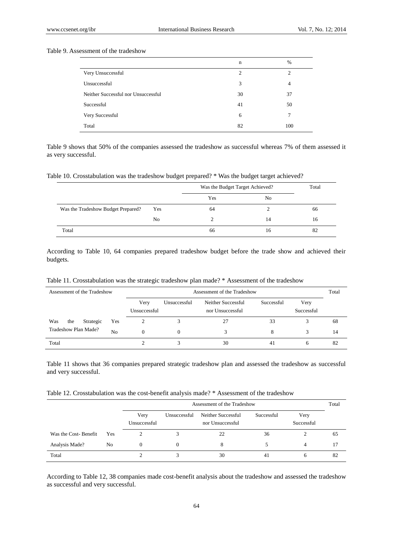## Table 9. Assessment of the tradeshow

|                                     | n              | $\frac{0}{0}$  |
|-------------------------------------|----------------|----------------|
| Very Unsuccessful                   | $\overline{2}$ | $\overline{c}$ |
| Unsuccessful                        | 3              | $\overline{4}$ |
| Neither Successful nor Unsuccessful | 30             | 37             |
| Successful                          | 41             | 50             |
| Very Successful                     | 6              | 7              |
| Total                               | 82             | 100            |

Table 9 shows that 50% of the companies assessed the tradeshow as successful whereas 7% of them assessed it as very successful.

Table 10. Crosstabulation was the tradeshow budget prepared? \* Was the budget target achieved?

|                                    |     |     | Was the Budget Target Achieved? |    |
|------------------------------------|-----|-----|---------------------------------|----|
|                                    |     | Yes | N <sub>0</sub>                  |    |
| Was the Tradeshow Budget Prepared? | Yes | 64  |                                 | 66 |
|                                    | No  |     | 14                              | 16 |
| Total                              |     | 66  | 16                              | 82 |

According to Table 10, 64 companies prepared tradeshow budget before the trade show and achieved their budgets.

Table 11. Crosstabulation was the strategic tradeshow plan made? \* Assessment of the tradeshow

| Assessment of the Tradeshow |     | Assessment of the Tradeshow |              |                                        |            |                    |    |
|-----------------------------|-----|-----------------------------|--------------|----------------------------------------|------------|--------------------|----|
|                             |     | Very<br>Unsuccessful        | Unsuccessful | Neither Successful<br>nor Unsuccessful | Successful | Very<br>Successful |    |
| Was<br>Strategic<br>the     | Yes |                             |              | 27                                     | 33         |                    | 68 |
| Tradeshow Plan Made?        | No  | $\theta$                    |              |                                        |            |                    | 14 |
| Total                       |     |                             |              | 30                                     | 41         |                    | 82 |

Table 11 shows that 36 companies prepared strategic tradeshow plan and assessed the tradeshow as successful and very successful.

Table 12. Crosstabulation was the cost-benefit analysis made? \* Assessment of the tradeshow

|                      |                | Assessment of the Tradeshow |              |                                        |            |                    | Total |
|----------------------|----------------|-----------------------------|--------------|----------------------------------------|------------|--------------------|-------|
|                      |                | Very<br>Unsuccessful        | Unsuccessful | Neither Successful<br>nor Unsuccessful | Successful | Very<br>Successful |       |
| Was the Cost-Benefit | Yes            |                             |              | 22                                     | 36         |                    | 65    |
| Analysis Made?       | N <sub>o</sub> | $^{(1)}$                    | $\left($     | 8                                      |            | 4                  |       |
| Total                |                |                             |              | 30                                     | 41         | O                  | 82    |

According to Table 12, 38 companies made cost-benefit analysis about the tradeshow and assessed the tradeshow as successful and very successful.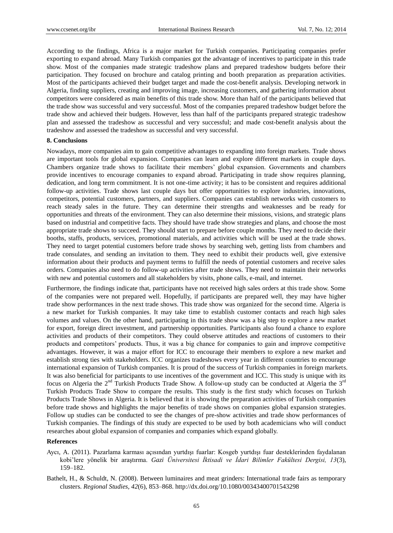According to the findings, Africa is a major market for Turkish companies. Participating companies prefer exporting to expand abroad. Many Turkish companies got the advantage of incentives to participate in this trade show. Most of the companies made strategic tradeshow plans and prepared tradeshow budgets before their participation. They focused on brochure and catalog printing and booth preparation as preparation activities. Most of the participants achieved their budget target and made the cost-benefit analysis. Developing network in Algeria, finding suppliers, creating and improving image, increasing customers, and gathering information about competitors were considered as main benefits of this trade show. More than half of the participants believed that the trade show was successful and very successful. Most of the companies prepared tradeshow budget before the trade show and achieved their budgets. However, less than half of the participants prepared strategic tradeshow plan and assessed the tradeshow as successful and very successful; and made cost-benefit analysis about the tradeshow and assessed the tradeshow as successful and very successful.

#### **8. Conclusions**

Nowadays, more companies aim to gain competitive advantages to expanding into foreign markets. Trade shows are important tools for global expansion. Companies can learn and explore different markets in couple days. Chambers organize trade shows to facilitate their members" global expansion. Governments and chambers provide incentives to encourage companies to expand abroad. Participating in trade show requires planning, dedication, and long term commitment. It is not one-time activity; it has to be consistent and requires additional follow-up activities. Trade shows last couple days but offer opportunities to explore industries, innovations, competitors, potential customers, partners, and suppliers. Companies can establish networks with customers to reach steady sales in the future. They can determine their strengths and weaknesses and be ready for opportunities and threats of the environment. They can also determine their missions, visions, and strategic plans based on industrial and competitive facts. They should have trade show strategies and plans, and choose the most appropriate trade shows to succeed. They should start to prepare before couple months. They need to decide their booths, staffs, products, services, promotional materials, and activities which will be used at the trade shows. They need to target potential customers before trade shows by searching web, getting lists from chambers and trade consulates, and sending an invitation to them. They need to exhibit their products well, give extensive information about their products and payment terms to fulfill the needs of potential customers and receive sales orders. Companies also need to do follow-up activities after trade shows. They need to maintain their networks with new and potential customers and all stakeholders by visits, phone calls, e-mail, and internet.

Furthermore, the findings indicate that, participants have not received high sales orders at this trade show. Some of the companies were not prepared well. Hopefully, if participants are prepared well, they may have higher trade show performances in the next trade shows. This trade show was organized for the second time. Algeria is a new market for Turkish companies. It may take time to establish customer contacts and reach high sales volumes and values. On the other hand, participating in this trade show was a big step to explore a new market for export, foreign direct investment, and partnership opportunities. Participants also found a chance to explore activities and products of their competitors. They could observe attitudes and reactions of customers to their products and competitors" products. Thus, it was a big chance for companies to gain and improve competitive advantages. However, it was a major effort for ICC to encourage their members to explore a new market and establish strong ties with stakeholders. ICC organizes tradeshows every year in different countries to encourage international expansion of Turkish companies. It is proud of the success of Turkish companies in foreign markets. It was also beneficial for participants to use incentives of the government and ICC. This study is unique with its focus on Algeria the  $2<sup>nd</sup>$  Turkish Products Trade Show. A follow-up study can be conducted at Algeria the  $3<sup>rd</sup>$ Turkish Products Trade Show to compare the results. This study is the first study which focuses on Turkish Products Trade Shows in Algeria. It is believed that it is showing the preparation activities of Turkish companies before trade shows and highlights the major benefits of trade shows on companies global expansion strategies. Follow up studies can be conducted to see the changes of pre-show activities and trade show performances of Turkish companies. The findings of this study are expected to be used by both academicians who will conduct researches about global expansion of companies and companies which expand globally.

#### **References**

- Aycı, A. (2011). Pazarlama karması açısından yurtdışı fuarlar: Kosgeb yurtdışı fuar desteklerinden faydalanan kobi"lere yönelik bir araştırma. *Gazi Üniversitesi İktisadi ve İdari Bilimler Fakültesi Dergisi, 13*(3), 159–182.
- Bathelt, H., & Schuldt, N. (2008). Between luminaires and meat grinders: International trade fairs as temporary clusters. *Regional Studies, 42*(6), 853–868. http://dx.doi.org/10.1080/00343400701543298